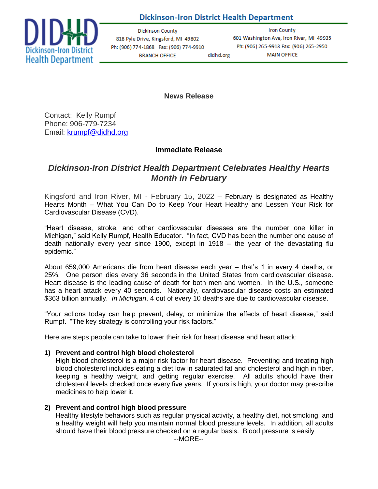## **Dickinson-Iron District Health Department**



**Dickinson County** 818 Pyle Drive, Kingsford, MI 49802 Ph: (906) 774-1868 Fax: (906) 774-9910 **BRANCH OFFICE** didhd.org

**Iron County** 601 Washington Ave, Iron River, MI 49935 Ph: (906) 265-9913 Fax: (906) 265-2950 **MAIN OFFICE** 

**News Release**

Contact: Kelly Rumpf Phone: 906-779-7234 Email: [krumpf@didhd.org](mailto:krumpf@didhd.org)

## **Immediate Release**

# *Dickinson-Iron District Health Department Celebrates Healthy Hearts Month in February*

Kingsford and Iron River, MI - February 15, 2022 – February is designated as Healthy Hearts Month – What You Can Do to Keep Your Heart Healthy and Lessen Your Risk for Cardiovascular Disease (CVD).

"Heart disease, stroke, and other cardiovascular diseases are the number one killer in Michigan," said Kelly Rumpf, Health Educator. "In fact, CVD has been the number one cause of death nationally every year since 1900, except in 1918 – the year of the devastating flu epidemic."

About 659,000 Americans die from heart disease each year – that's 1 in every 4 deaths, or 25%. One person dies every 36 seconds in the United States from cardiovascular disease. Heart disease is the leading cause of death for both men and women. In the U.S., someone has a heart attack every 40 seconds. Nationally, cardiovascular disease costs an estimated \$363 billion annually. *In Michigan*, 4 out of every 10 deaths are due to cardiovascular disease.

"Your actions today can help prevent, delay, or minimize the effects of heart disease," said Rumpf. "The key strategy is controlling your risk factors."

Here are steps people can take to lower their risk for heart disease and heart attack:

## **1) Prevent and control high blood cholesterol**

High blood cholesterol is a major risk factor for heart disease. Preventing and treating high blood cholesterol includes eating a diet low in saturated fat and cholesterol and high in fiber, keeping a healthy weight, and getting regular exercise. All adults should have their cholesterol levels checked once every five years. If yours is high, your doctor may prescribe medicines to help lower it.

## **2) Prevent and control high blood pressure**

Healthy lifestyle behaviors such as regular physical activity, a healthy diet, not smoking, and a healthy weight will help you maintain normal blood pressure levels. In addition, all adults should have their blood pressure checked on a regular basis. Blood pressure is easily --MORE--